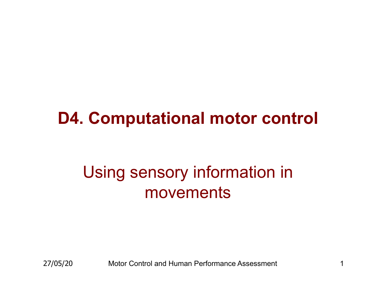#### **D4. Computational motor control**

### Using sensory information in movements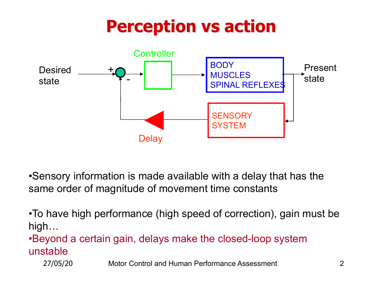## **Perception vs action**



•Sensory information is made available with a delay that has the same order of magnitude of movement time constants

•To have high performance (high speed of correction), gain must be high…

•Beyond a certain gain, delays make the closed-loop system unstable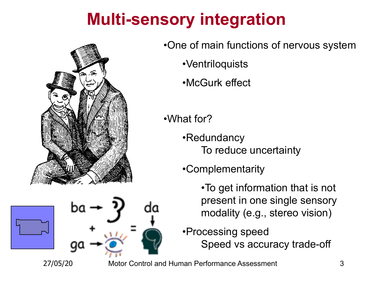## **Multi-sensory integration**



•One of main functions of nervous system •Ventriloquists •McGurk effect

•What for?

•Redundancy To reduce uncertainty

•Complementarity

•To get information that is not present in one single sensory modality (e.g., stereo vision)

•Processing speed Speed vs accuracy trade-off

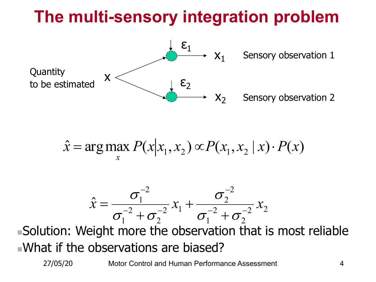## **The multi-sensory integration problem**



$$
\hat{x} = \arg\max_{x} P(x | x_1, x_2) \propto P(x_1, x_2 | x) \cdot P(x)
$$

$$
\hat{x} = \frac{\sigma_1^{-2}}{\sigma_1^{-2} + \sigma_2^{-2}} x_1 + \frac{\sigma_2^{-2}}{\sigma_1^{-2} + \sigma_2^{-2}} x_2
$$

 $\blacksquare$ Solution: Weight more the observation that is most reliable  $\square$ What if the observations are biased?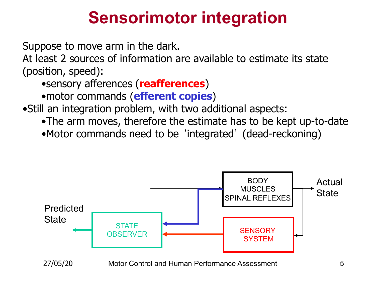### **Sensorimotor integration**

Suppose to move arm in the dark.

At least 2 sources of information are available to estimate its state (position, speed):

•sensory afferences (**reafferences**)

•motor commands (**efferent copies**)

•Still an integration problem, with two additional aspects:

- •The arm moves, therefore the estimate has to be kept up-to-date
- •Motor commands need to be 'integrated' (dead-reckoning)

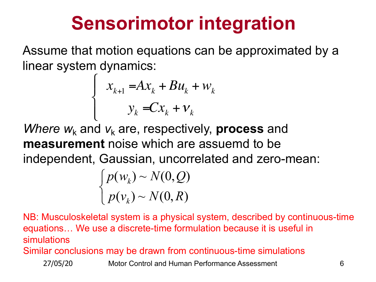## **Sensorimotor integration**

Assume that motion equations can be approximated by a linear system dynamics:

$$
\begin{cases} x_{k+1} = Ax_k + Bu_k + w_k \\ y_k = Cx_k + v_k \end{cases}
$$

*Where*  $w_k$  and  $v_k$  are, respectively, **process** and **measurement** noise which are assuemd to be independent, Gaussian, uncorrelated and zero-mean:

$$
\begin{cases}\np(w_k) \sim N(0, Q) \\
p(v_k) \sim N(0, R)\n\end{cases}
$$

NB: Musculoskeletal system is a physical system, described by continuous-time equations… We use a discrete-time formulation because it is useful in simulations

Similar conclusions may be drawn from continuous-time simulations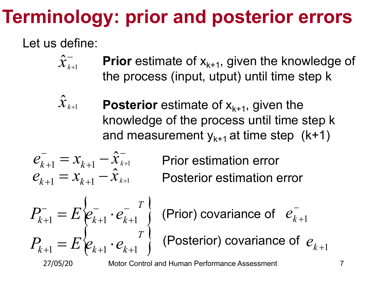# **Terminology: prior and posterior errors**

#### Let us define:

- $\hat{\hat{\mathcal{X}}}_{k+\text{l}}^-$ **Prior** estimate of  $x_{k+1}$ , given the knowledge of the process (input, utput) until time step k
- $\hat{\bm{\mathcal{X}}}_{k+\!1}$ **Posterior** estimate of  $x_{k+1}$ , given the knowledge of the process until time step k and measurement  $y_{k+1}$  at time step (k+1)

$$
e_{k+1}^{-} = x_{k+1} - \hat{x}_{k+1}^{-}
$$
  

$$
e_{k+1}^{-} = x_{k+1} - \hat{x}_{k+1}^{-}
$$

Posterior estimation error Prior estimation error

$$
P_{k+1}^{-} = E \begin{Bmatrix} e_{k+1}^{-} \cdot e_{k+1}^{-} \\ e_{k+1}^{-} e_{k+1}^{-} \end{Bmatrix}
$$

$$
P_{k+1} = E \begin{Bmatrix} e_{k+1} \cdot e_{k+1}^{-} \\ e_{k+1}^{-} e_{k+1}^{-} \end{Bmatrix}
$$

(Prior) covariance of  $e_{k+1}^{-}$ 

 $P_{k+1} = E\Big|\!e_{k+1}\cdot e_{k+1}\!\Big|^T\Big|$  (Posterior) covariance of  $e_{k+1}$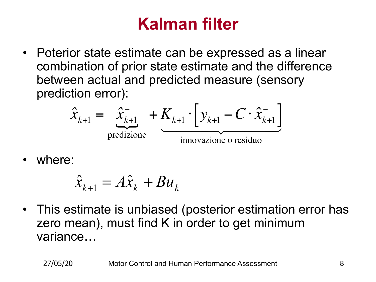### **Kalman filter**

• Poterior state estimate can be expressed as a linear combination of prior state estimate and the difference between actual and predicted measure (sensory prediction error):

$$
\hat{x}_{k+1} = \underbrace{\hat{x}_{k+1}}_{\text{predizione}} + \underbrace{K_{k+1}}_{\text{innovazione o residuo}} \cdot \underbrace{y_{k+1} - C \cdot \hat{x}_{k+1}^{-}}_{\text{innovazione o residuo}}
$$

where:

$$
\hat{x}_{k+1}^- = A\hat{x}_k^- + Bu_k
$$

• This estimate is unbiased (posterior estimation error has zero mean), must find K in order to get minimum variance…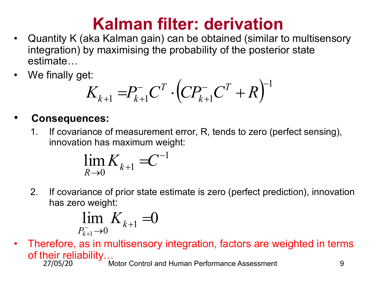#### **Kalman filter: derivation**

- Quantity K (aka Kalman gain) can be obtained (similar to multisensory integration) by maximising the probability of the posterior state estimate…
- We finally get:

$$
K_{k+1} = P_{k+1}^- C^T \cdot \left( C P_{k+1}^- C^T + R \right)^{-1}
$$

#### • **Consequences:**

1. If covariance of measurement error, R, tends to zero (perfect sensing), innovation has maximum weight:

$$
\lim_{R\to 0}K_{k+1}=C^{-1}
$$

2. If covariance of prior state estimate is zero (perfect prediction), innovation has zero weight:

$$
\lim_{P_{k+1}^- \to 0} K_{k+1} = 0
$$

• Therefore, as in multisensory integration, factors are weighted in terms of their reliability…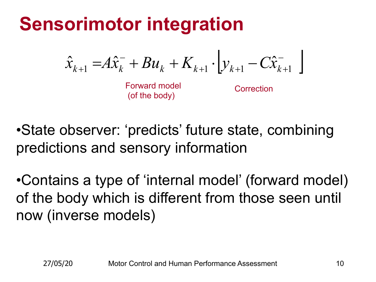## **Sensorimotor integration**

$$
\hat{x}_{k+1} = A\hat{x}_{k}^{-} + Bu_{k} + K_{k+1} \cdot \bigg[ y_{k+1} - C\hat{x}_{k+1}^{-} \bigg]
$$

Forward model (of the body)

Correction

•State observer: 'predicts' future state, combining predictions and sensory information

•Contains a type of 'internal model' (forward model) of the body which is different from those seen until now (inverse models)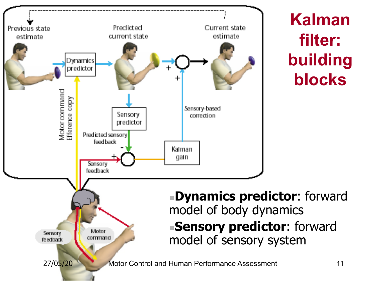

**Kalman filter: building blocks**

**EDynamics predictor:** forward model of body dynamics **nSensory predictor:** forward model of sensory system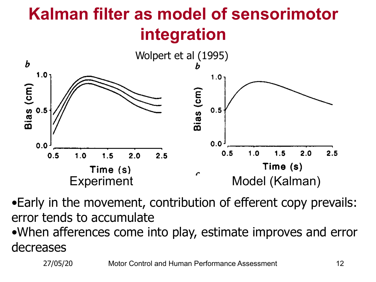## **Kalman filter as model of sensorimotor integration**



•Early in the movement, contribution of efferent copy prevails: error tends to accumulate •When afferences come into play, estimate improves and error decreases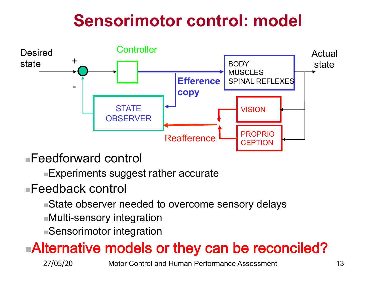## **Sensorimotor control: model**



<sup>n</sup>Feedforward control

 $\blacksquare$ Experiments suggest rather accurate

#### $\blacksquare$ Feedback control

- **State observer needed to overcome sensory delays**
- ■Multi-sensory integration
- **Sensorimotor integration**

#### ■Alternative models or they can be reconciled?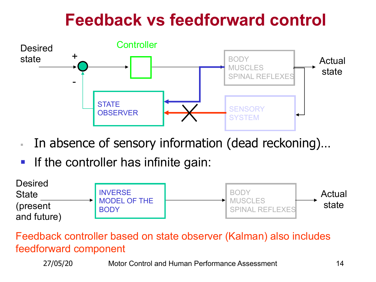### **Feedback vs feedforward control**



- § In absence of sensory information (dead reckoning)…
- **If the controller has infinite gain:**



Feedback controller based on state observer (Kalman) also includes feedforward component